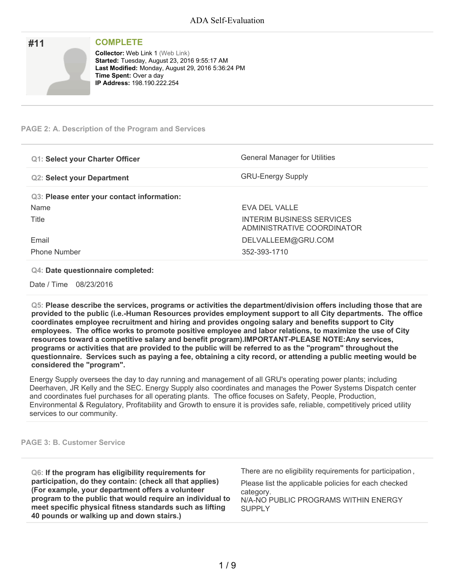| <b>COMPLETE</b>                                     |
|-----------------------------------------------------|
| <b>Collector: Web Link 1 (Web Link)</b>             |
| <b>Started: Tuesday, August 23, 2016 9:55:17 AM</b> |
| Last Modified: Monday, August 29, 2016 5:36:24 PM   |
| <b>Time Spent: Over a day</b>                       |
| <b>IP Address: 198.190.222.254</b>                  |
|                                                     |
|                                                     |

# **PAGE 2: A. Description of the Program and Services**

| <b>Q1: Select your Charter Officer</b>     | <b>General Manager for Utilities</b>                    |
|--------------------------------------------|---------------------------------------------------------|
| <b>Q2: Select your Department</b>          | <b>GRU-Energy Supply</b>                                |
| Q3: Please enter your contact information: |                                                         |
| Name                                       | EVA DEL VALLE                                           |
| Title                                      | INTERIM BUSINESS SERVICES<br>ADMINISTRATIVE COORDINATOR |
| Email                                      | DELVALLEEM@GRU.COM                                      |
| <b>Phone Number</b>                        | 352-393-1710                                            |

**Q4: Date questionnaire completed:**

Date / Time 08/23/2016

**Q5: Please describe the services, programs or activities the department/division offers including those that are provided to the public (i.e.-Human Resources provides employment support to all City departments. The office coordinates employee recruitment and hiring and provides ongoing salary and benefits support to City employees. The office works to promote positive employee and labor relations, to maximize the use of City resources toward a competitive salary and benefit program).IMPORTANT-PLEASE NOTE:Any services,** programs or activities that are provided to the public will be referred to as the "program" throughout the questionnaire. Services such as paying a fee, obtaining a city record, or attending a public meeting would be **considered the "program".**

Energy Supply oversees the day to day running and management of all GRU's operating power plants; including Deerhaven, JR Kelly and the SEC. Energy Supply also coordinates and manages the Power Systems Dispatch center and coordinates fuel purchases for all operating plants. The office focuses on Safety, People, Production, Environmental & Regulatory, Profitability and Growth to ensure it is provides safe, reliable, competitively priced utility services to our community.

## **PAGE 3: B. Customer Service**

| Q6: If the program has eligibility requirements for       | There are no eligibility requirements for participation, |
|-----------------------------------------------------------|----------------------------------------------------------|
| participation, do they contain: (check all that applies)  | Please list the applicable policies for each checked     |
| (For example, your department offers a volunteer          | category.                                                |
| program to the public that would require an individual to | N/A-NO PUBLIC PROGRAMS WITHIN ENERGY                     |
| meet specific physical fitness standards such as lifting  | <b>SUPPLY</b>                                            |
| 40 pounds or walking up and down stairs.)                 |                                                          |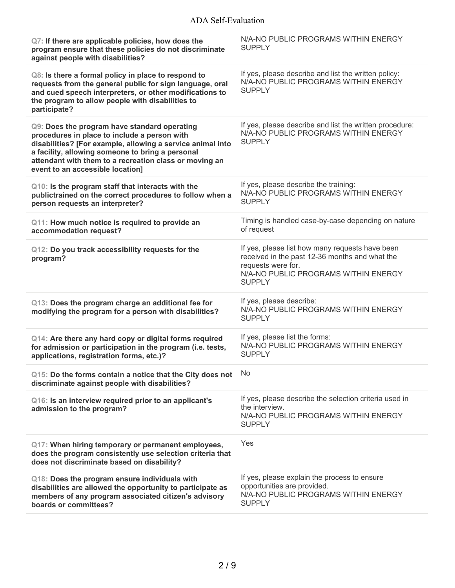| Q7: If there are applicable policies, how does the<br>program ensure that these policies do not discriminate<br>against people with disabilities?                                                                                                                                                            | N/A-NO PUBLIC PROGRAMS WITHIN ENERGY<br><b>SUPPLY</b>                                                                                                                            |
|--------------------------------------------------------------------------------------------------------------------------------------------------------------------------------------------------------------------------------------------------------------------------------------------------------------|----------------------------------------------------------------------------------------------------------------------------------------------------------------------------------|
| Q8: Is there a formal policy in place to respond to<br>requests from the general public for sign language, oral<br>and cued speech interpreters, or other modifications to<br>the program to allow people with disabilities to<br>participate?                                                               | If yes, please describe and list the written policy:<br>N/A-NO PUBLIC PROGRAMS WITHIN ENERGY<br><b>SUPPLY</b>                                                                    |
| Q9: Does the program have standard operating<br>procedures in place to include a person with<br>disabilities? [For example, allowing a service animal into<br>a facility, allowing someone to bring a personal<br>attendant with them to a recreation class or moving an<br>event to an accessible location] | If yes, please describe and list the written procedure:<br>N/A-NO PUBLIC PROGRAMS WITHIN ENERGY<br><b>SUPPLY</b>                                                                 |
| Q10: Is the program staff that interacts with the<br>publictrained on the correct procedures to follow when a<br>person requests an interpreter?                                                                                                                                                             | If yes, please describe the training:<br>N/A-NO PUBLIC PROGRAMS WITHIN ENERGY<br><b>SUPPLY</b>                                                                                   |
| Q11: How much notice is required to provide an<br>accommodation request?                                                                                                                                                                                                                                     | Timing is handled case-by-case depending on nature<br>of request                                                                                                                 |
| Q12: Do you track accessibility requests for the<br>program?                                                                                                                                                                                                                                                 | If yes, please list how many requests have been<br>received in the past 12-36 months and what the<br>requests were for.<br>N/A-NO PUBLIC PROGRAMS WITHIN ENERGY<br><b>SUPPLY</b> |
| Q13: Does the program charge an additional fee for<br>modifying the program for a person with disabilities?                                                                                                                                                                                                  | If yes, please describe:<br>N/A-NO PUBLIC PROGRAMS WITHIN ENERGY<br><b>SUPPLY</b>                                                                                                |
| Q14: Are there any hard copy or digital forms required<br>for admission or participation in the program (i.e. tests,<br>applications, registration forms, etc.)?                                                                                                                                             | If yes, please list the forms:<br>N/A-NO PUBLIC PROGRAMS WITHIN ENERGY<br><b>SUPPLY</b>                                                                                          |
| Q15: Do the forms contain a notice that the City does not<br>discriminate against people with disabilities?                                                                                                                                                                                                  | No                                                                                                                                                                               |
| Q16: Is an interview required prior to an applicant's<br>admission to the program?                                                                                                                                                                                                                           | If yes, please describe the selection criteria used in<br>the interview.<br>N/A-NO PUBLIC PROGRAMS WITHIN ENERGY<br><b>SUPPLY</b>                                                |
| Q17: When hiring temporary or permanent employees,<br>does the program consistently use selection criteria that<br>does not discriminate based on disability?                                                                                                                                                | Yes                                                                                                                                                                              |
| Q18: Does the program ensure individuals with<br>disabilities are allowed the opportunity to participate as<br>members of any program associated citizen's advisory<br>boards or committees?                                                                                                                 | If yes, please explain the process to ensure<br>opportunities are provided.<br>N/A-NO PUBLIC PROGRAMS WITHIN ENERGY<br><b>SUPPLY</b>                                             |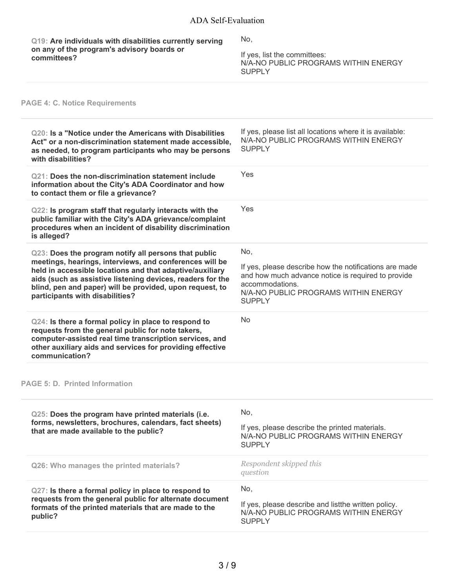| Q19: Are individuals with disabilities currently serving<br>on any of the program's advisory boards or<br>committees?                                                                                                                                                                                                                    | No,<br>If yes, list the committees:<br>N/A-NO PUBLIC PROGRAMS WITHIN ENERGY<br><b>SUPPLY</b>                                                                                                    |
|------------------------------------------------------------------------------------------------------------------------------------------------------------------------------------------------------------------------------------------------------------------------------------------------------------------------------------------|-------------------------------------------------------------------------------------------------------------------------------------------------------------------------------------------------|
| <b>PAGE 4: C. Notice Requirements</b>                                                                                                                                                                                                                                                                                                    |                                                                                                                                                                                                 |
| Q20: Is a "Notice under the Americans with Disabilities<br>Act" or a non-discrimination statement made accessible,<br>as needed, to program participants who may be persons<br>with disabilities?                                                                                                                                        | If yes, please list all locations where it is available:<br>N/A-NO PUBLIC PROGRAMS WITHIN ENERGY<br><b>SUPPLY</b>                                                                               |
| Q21: Does the non-discrimination statement include<br>information about the City's ADA Coordinator and how<br>to contact them or file a grievance?                                                                                                                                                                                       | Yes                                                                                                                                                                                             |
| Q22: Is program staff that regularly interacts with the<br>public familiar with the City's ADA grievance/complaint<br>procedures when an incident of disability discrimination<br>is alleged?                                                                                                                                            | Yes                                                                                                                                                                                             |
| Q23: Does the program notify all persons that public<br>meetings, hearings, interviews, and conferences will be<br>held in accessible locations and that adaptive/auxiliary<br>aids (such as assistive listening devices, readers for the<br>blind, pen and paper) will be provided, upon request, to<br>participants with disabilities? | No,<br>If yes, please describe how the notifications are made<br>and how much advance notice is required to provide<br>accommodations.<br>N/A-NO PUBLIC PROGRAMS WITHIN ENERGY<br><b>SUPPLY</b> |
| Q24: Is there a formal policy in place to respond to<br>requests from the general public for note takers,<br>computer-assisted real time transcription services, and<br>other auxiliary aids and services for providing effective<br>communication?                                                                                      | No                                                                                                                                                                                              |
| <b>PAGE 5: D. Printed Information</b>                                                                                                                                                                                                                                                                                                    |                                                                                                                                                                                                 |
| Q25: Does the program have printed materials (i.e.<br>forms, newsletters, brochures, calendars, fact sheets)<br>that are made available to the public?                                                                                                                                                                                   | No,<br>If yes, please describe the printed materials.<br>N/A-NO PUBLIC PROGRAMS WITHIN ENERGY<br><b>SUPPLY</b>                                                                                  |
| Q26: Who manages the printed materials?                                                                                                                                                                                                                                                                                                  | Respondent skipped this<br>question                                                                                                                                                             |
| Q27: Is there a formal policy in place to respond to<br>requests from the general public for alternate document<br>formats of the printed materials that are made to the<br>public?                                                                                                                                                      | No,<br>If yes, please describe and listthe written policy.<br>N/A-NO PUBLIC PROGRAMS WITHIN ENERGY<br><b>SUPPLY</b>                                                                             |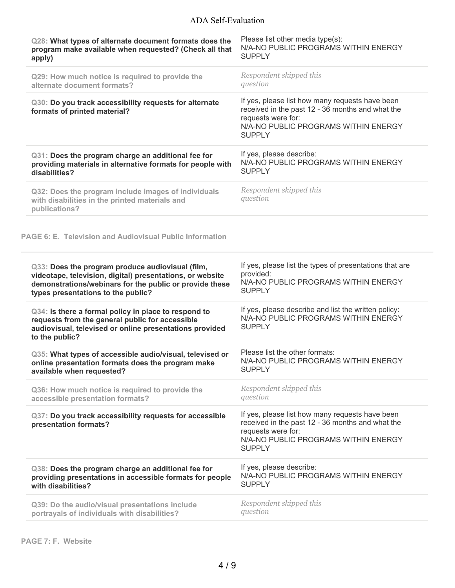| Q28: What types of alternate document formats does the                                                                                                                               | Please list other media type(s):                                                                                                                                                   |
|--------------------------------------------------------------------------------------------------------------------------------------------------------------------------------------|------------------------------------------------------------------------------------------------------------------------------------------------------------------------------------|
| program make available when requested? (Check all that                                                                                                                               | N/A-NO PUBLIC PROGRAMS WITHIN ENERGY                                                                                                                                               |
| apply)                                                                                                                                                                               | <b>SUPPLY</b>                                                                                                                                                                      |
| Q29: How much notice is required to provide the                                                                                                                                      | Respondent skipped this                                                                                                                                                            |
| alternate document formats?                                                                                                                                                          | question                                                                                                                                                                           |
| Q30: Do you track accessibility requests for alternate<br>formats of printed material?                                                                                               | If yes, please list how many requests have been<br>received in the past 12 - 36 months and what the<br>requests were for:<br>N/A-NO PUBLIC PROGRAMS WITHIN ENERGY<br><b>SUPPLY</b> |
| Q31: Does the program charge an additional fee for                                                                                                                                   | If yes, please describe:                                                                                                                                                           |
| providing materials in alternative formats for people with                                                                                                                           | N/A-NO PUBLIC PROGRAMS WITHIN ENERGY                                                                                                                                               |
| disabilities?                                                                                                                                                                        | <b>SUPPLY</b>                                                                                                                                                                      |
| Q32: Does the program include images of individuals<br>with disabilities in the printed materials and<br>publications?                                                               | Respondent skipped this<br>question                                                                                                                                                |
| <b>PAGE 6: E. Television and Audiovisual Public Information</b>                                                                                                                      |                                                                                                                                                                                    |
| Q33: Does the program produce audiovisual (film,                                                                                                                                     | If yes, please list the types of presentations that are                                                                                                                            |
| videotape, television, digital) presentations, or website                                                                                                                            | provided:                                                                                                                                                                          |
| demonstrations/webinars for the public or provide these                                                                                                                              | N/A-NO PUBLIC PROGRAMS WITHIN ENERGY                                                                                                                                               |
| types presentations to the public?                                                                                                                                                   | <b>SUPPLY</b>                                                                                                                                                                      |
| Q34: Is there a formal policy in place to respond to<br>requests from the general public for accessible<br>audiovisual, televised or online presentations provided<br>to the public? | If yes, please describe and list the written policy:<br>N/A-NO PUBLIC PROGRAMS WITHIN ENERGY<br><b>SUPPLY</b>                                                                      |
| Q35: What types of accessible audio/visual, televised or                                                                                                                             | Please list the other formats:                                                                                                                                                     |
| online presentation formats does the program make                                                                                                                                    | N/A-NO PUBLIC PROGRAMS WITHIN ENERGY                                                                                                                                               |
| available when requested?                                                                                                                                                            | <b>SUPPLY</b>                                                                                                                                                                      |
| Q36: How much notice is required to provide the                                                                                                                                      | Respondent skipped this                                                                                                                                                            |
| accessible presentation formats?                                                                                                                                                     | question                                                                                                                                                                           |
| Q37: Do you track accessibility requests for accessible<br>presentation formats?                                                                                                     | If yes, please list how many requests have been<br>received in the past 12 - 36 months and what the<br>requests were for:<br>N/A-NO PUBLIC PROGRAMS WITHIN ENERGY<br><b>SUPPLY</b> |
| Q38: Does the program charge an additional fee for                                                                                                                                   | If yes, please describe:                                                                                                                                                           |
| providing presentations in accessible formats for people                                                                                                                             | N/A-NO PUBLIC PROGRAMS WITHIN ENERGY                                                                                                                                               |
| with disabilities?                                                                                                                                                                   | <b>SUPPLY</b>                                                                                                                                                                      |
| Q39: Do the audio/visual presentations include                                                                                                                                       | Respondent skipped this                                                                                                                                                            |
| portrayals of individuals with disabilities?                                                                                                                                         | question                                                                                                                                                                           |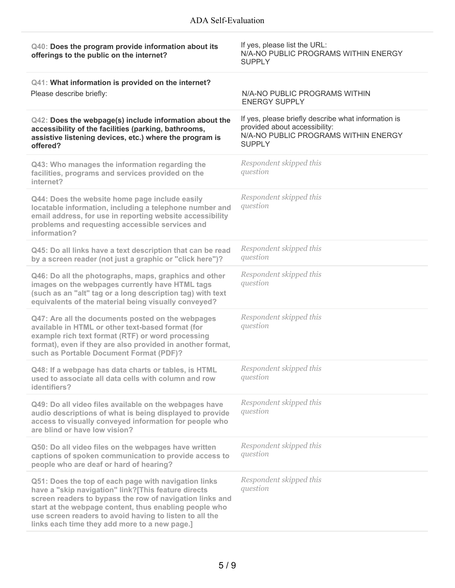| Q40: Does the program provide information about its<br>offerings to the public on the internet?                                                                                                                                                                                                                                               | If yes, please list the URL:<br>N/A-NO PUBLIC PROGRAMS WITHIN ENERGY<br><b>SUPPLY</b>                                                         |
|-----------------------------------------------------------------------------------------------------------------------------------------------------------------------------------------------------------------------------------------------------------------------------------------------------------------------------------------------|-----------------------------------------------------------------------------------------------------------------------------------------------|
| Q41: What information is provided on the internet?                                                                                                                                                                                                                                                                                            |                                                                                                                                               |
| Please describe briefly:                                                                                                                                                                                                                                                                                                                      | N/A-NO PUBLIC PROGRAMS WITHIN<br><b>ENERGY SUPPLY</b>                                                                                         |
| Q42: Does the webpage(s) include information about the<br>accessibility of the facilities (parking, bathrooms,<br>assistive listening devices, etc.) where the program is<br>offered?                                                                                                                                                         | If yes, please briefly describe what information is<br>provided about accessibility:<br>N/A-NO PUBLIC PROGRAMS WITHIN ENERGY<br><b>SUPPLY</b> |
| Q43: Who manages the information regarding the<br>facilities, programs and services provided on the<br>internet?                                                                                                                                                                                                                              | Respondent skipped this<br>question                                                                                                           |
| Q44: Does the website home page include easily<br>locatable information, including a telephone number and<br>email address, for use in reporting website accessibility<br>problems and requesting accessible services and<br>information?                                                                                                     | Respondent skipped this<br>question                                                                                                           |
| Q45: Do all links have a text description that can be read<br>by a screen reader (not just a graphic or "click here")?                                                                                                                                                                                                                        | Respondent skipped this<br>question                                                                                                           |
| Q46: Do all the photographs, maps, graphics and other<br>images on the webpages currently have HTML tags<br>(such as an "alt" tag or a long description tag) with text<br>equivalents of the material being visually conveyed?                                                                                                                | Respondent skipped this<br>question                                                                                                           |
| Q47: Are all the documents posted on the webpages<br>available in HTML or other text-based format (for<br>example rich text format (RTF) or word processing<br>format), even if they are also provided in another format,<br>such as Portable Document Format (PDF)?                                                                          | Respondent skipped this<br>question                                                                                                           |
| Q48: If a webpage has data charts or tables, is HTML<br>used to associate all data cells with column and row<br>identifiers?                                                                                                                                                                                                                  | Respondent skipped this<br>question                                                                                                           |
| Q49: Do all video files available on the webpages have<br>audio descriptions of what is being displayed to provide<br>access to visually conveyed information for people who<br>are blind or have low vision?                                                                                                                                 | Respondent skipped this<br>question                                                                                                           |
| Q50: Do all video files on the webpages have written<br>captions of spoken communication to provide access to<br>people who are deaf or hard of hearing?                                                                                                                                                                                      | Respondent skipped this<br>question                                                                                                           |
| Q51: Does the top of each page with navigation links<br>have a "skip navigation" link?[This feature directs<br>screen readers to bypass the row of navigation links and<br>start at the webpage content, thus enabling people who<br>use screen readers to avoid having to listen to all the<br>links each time they add more to a new page.] | Respondent skipped this<br>question                                                                                                           |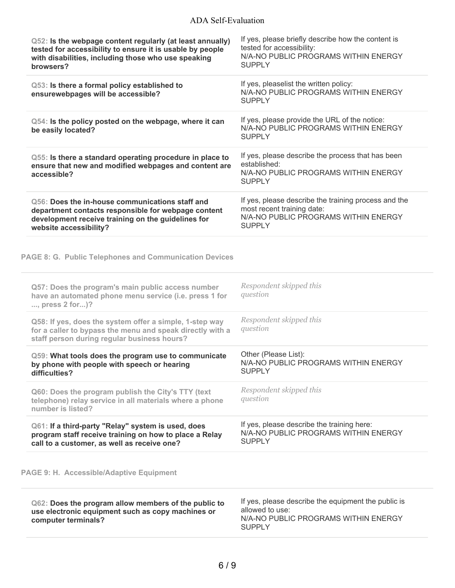| Q52: Is the webpage content regularly (at least annually)<br>tested for accessibility to ensure it is usable by people<br>with disabilities, including those who use speaking<br>browsers? | If yes, please briefly describe how the content is<br>tested for accessibility:<br>N/A-NO PUBLIC PROGRAMS WITHIN ENERGY<br><b>SUPPLY</b>    |
|--------------------------------------------------------------------------------------------------------------------------------------------------------------------------------------------|---------------------------------------------------------------------------------------------------------------------------------------------|
| Q53: Is there a formal policy established to<br>ensurewebpages will be accessible?                                                                                                         | If yes, pleaselist the written policy:<br>N/A-NO PUBLIC PROGRAMS WITHIN ENERGY<br><b>SUPPLY</b>                                             |
| Q54: Is the policy posted on the webpage, where it can<br>be easily located?                                                                                                               | If yes, please provide the URL of the notice:<br>N/A-NO PUBLIC PROGRAMS WITHIN ENERGY<br><b>SUPPLY</b>                                      |
| Q55: Is there a standard operating procedure in place to<br>ensure that new and modified webpages and content are<br>accessible?                                                           | If yes, please describe the process that has been<br>established:<br>N/A-NO PUBLIC PROGRAMS WITHIN ENERGY<br><b>SUPPLY</b>                  |
| Q56: Does the in-house communications staff and<br>department contacts responsible for webpage content<br>development receive training on the guidelines for<br>website accessibility?     | If yes, please describe the training process and the<br>most recent training date:<br>N/A-NO PUBLIC PROGRAMS WITHIN ENERGY<br><b>SUPPLY</b> |
| <b>PAGE 8: G. Public Telephones and Communication Devices</b>                                                                                                                              |                                                                                                                                             |
| Q57: Does the program's main public access number<br>have an automated phone menu service (i.e. press 1 for<br>, press 2 for)?                                                             | Respondent skipped this<br>question                                                                                                         |
| Q58: If yes, does the system offer a simple, 1-step way<br>for a caller to bypass the menu and speak directly with a<br>staff person during regular business hours?                        | Respondent skipped this<br>question                                                                                                         |
| Q59: What tools does the program use to communicate<br>by phone with people with speech or hearing<br>difficulties?                                                                        | Other (Please List):<br>N/A-NO PUBLIC PROGRAMS WITHIN ENERGY<br><b>SUPPLY</b>                                                               |
| Q60: Does the program publish the City's TTY (text<br>telephone) relay service in all materials where a phone<br>number is listed?                                                         | Respondent skipped this<br>question                                                                                                         |
| Q61: If a third-party "Relay" system is used, does<br>program staff receive training on how to place a Relay<br>call to a customer, as well as receive one?                                | If yes, please describe the training here:<br>N/A-NO PUBLIC PROGRAMS WITHIN ENERGY<br><b>SUPPLY</b>                                         |
| PAGE 9: H. Accessible/Adaptive Equipment                                                                                                                                                   |                                                                                                                                             |
| Q62: Does the program allow members of the public to<br>use electronic equipment such as copy machines or                                                                                  | If yes, please describe the equipment the public is<br>allowed to use:                                                                      |

N/A-NO PUBLIC PROGRAMS WITHIN ENERGY SUPPLY

**computer terminals?**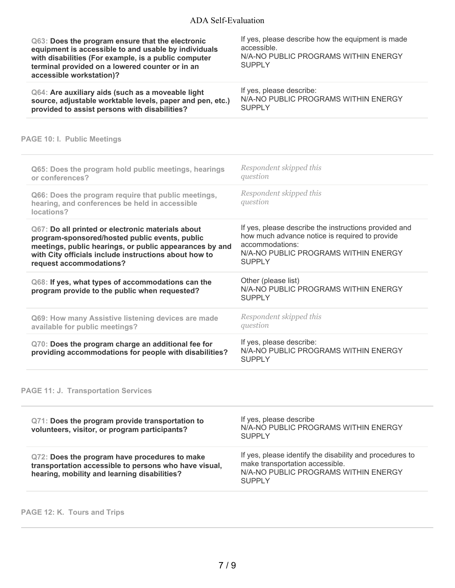| Q63: Does the program ensure that the electronic<br>equipment is accessible to and usable by individuals<br>with disabilities (For example, is a public computer<br>terminal provided on a lowered counter or in an<br>accessible workstation)?    | If yes, please describe how the equipment is made<br>accessible.<br>N/A-NO PUBLIC PROGRAMS WITHIN ENERGY<br><b>SUPPLY</b>                                                           |
|----------------------------------------------------------------------------------------------------------------------------------------------------------------------------------------------------------------------------------------------------|-------------------------------------------------------------------------------------------------------------------------------------------------------------------------------------|
| Q64: Are auxiliary aids (such as a moveable light<br>source, adjustable worktable levels, paper and pen, etc.)<br>provided to assist persons with disabilities?                                                                                    | If yes, please describe:<br>N/A-NO PUBLIC PROGRAMS WITHIN ENERGY<br><b>SUPPLY</b>                                                                                                   |
| PAGE 10: I. Public Meetings                                                                                                                                                                                                                        |                                                                                                                                                                                     |
| Q65: Does the program hold public meetings, hearings<br>or conferences?                                                                                                                                                                            | Respondent skipped this<br>question                                                                                                                                                 |
| Q66: Does the program require that public meetings,<br>hearing, and conferences be held in accessible<br>locations?                                                                                                                                | Respondent skipped this<br>question                                                                                                                                                 |
| Q67: Do all printed or electronic materials about<br>program-sponsored/hosted public events, public<br>meetings, public hearings, or public appearances by and<br>with City officials include instructions about how to<br>request accommodations? | If yes, please describe the instructions provided and<br>how much advance notice is required to provide<br>accommodations:<br>N/A-NO PUBLIC PROGRAMS WITHIN ENERGY<br><b>SUPPLY</b> |
| Q68: If yes, what types of accommodations can the<br>program provide to the public when requested?                                                                                                                                                 | Other (please list)<br>N/A-NO PUBLIC PROGRAMS WITHIN ENERGY<br><b>SUPPLY</b>                                                                                                        |
| Q69: How many Assistive listening devices are made<br>available for public meetings?                                                                                                                                                               | Respondent skipped this<br>question                                                                                                                                                 |
| Q70: Does the program charge an additional fee for<br>providing accommodations for people with disabilities?                                                                                                                                       | If yes, please describe:<br>N/A-NO PUBLIC PROGRAMS WITHIN ENERGY<br><b>SUPPLY</b>                                                                                                   |
| <b>PAGE 11: J. Transportation Services</b>                                                                                                                                                                                                         |                                                                                                                                                                                     |
| Q71: Does the program provide transportation to<br>volunteers, visitor, or program participants?                                                                                                                                                   | If yes, please describe<br>N/A-NO PUBLIC PROGRAMS WITHIN ENERGY<br><b>SUPPLY</b>                                                                                                    |
| Q72: Does the program have procedures to make<br>transportation accessible to persons who have visual,<br>hearing, mobility and learning disabilities?                                                                                             | If yes, please identify the disability and procedures to<br>make transportation accessible.<br>N/A-NO PUBLIC PROGRAMS WITHIN ENERGY                                                 |

# **PAGE 12: K. Tours and Trips**

SUPPLY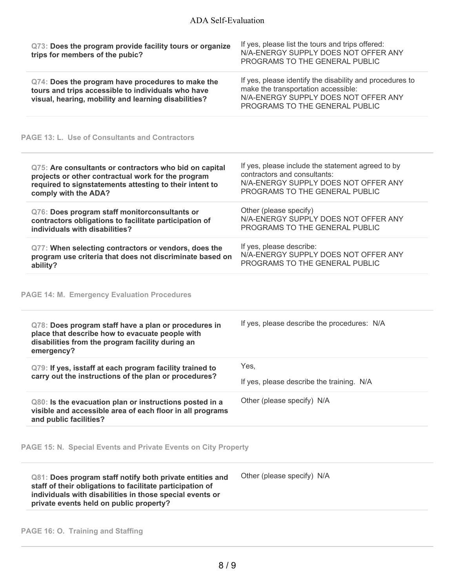| Q73: Does the program provide facility tours or organize<br>trips for members of the pubic?                                                                                                                                  | If yes, please list the tours and trips offered:<br>N/A-ENERGY SUPPLY DOES NOT OFFER ANY<br>PROGRAMS TO THE GENERAL PUBLIC                                                |
|------------------------------------------------------------------------------------------------------------------------------------------------------------------------------------------------------------------------------|---------------------------------------------------------------------------------------------------------------------------------------------------------------------------|
| Q74: Does the program have procedures to make the<br>tours and trips accessible to individuals who have<br>visual, hearing, mobility and learning disabilities?                                                              | If yes, please identify the disability and procedures to<br>make the transportation accessible:<br>N/A-ENERGY SUPPLY DOES NOT OFFER ANY<br>PROGRAMS TO THE GENERAL PUBLIC |
| <b>PAGE 13: L. Use of Consultants and Contractors</b>                                                                                                                                                                        |                                                                                                                                                                           |
| Q75: Are consultants or contractors who bid on capital<br>projects or other contractual work for the program<br>required to signstatements attesting to their intent to<br>comply with the ADA?                              | If yes, please include the statement agreed to by<br>contractors and consultants:<br>N/A-ENERGY SUPPLY DOES NOT OFFER ANY<br>PROGRAMS TO THE GENERAL PUBLIC               |
| Q76: Does program staff monitorconsultants or<br>contractors obligations to facilitate participation of<br>individuals with disabilities?                                                                                    | Other (please specify)<br>N/A-ENERGY SUPPLY DOES NOT OFFER ANY<br>PROGRAMS TO THE GENERAL PUBLIC                                                                          |
| Q77: When selecting contractors or vendors, does the<br>program use criteria that does not discriminate based on<br>ability?                                                                                                 | If yes, please describe:<br>N/A-ENERGY SUPPLY DOES NOT OFFER ANY<br>PROGRAMS TO THE GENERAL PUBLIC                                                                        |
| <b>PAGE 14: M. Emergency Evaluation Procedures</b>                                                                                                                                                                           |                                                                                                                                                                           |
| Q78: Does program staff have a plan or procedures in<br>place that describe how to evacuate people with<br>disabilities from the program facility during an<br>emergency?                                                    | If yes, please describe the procedures: N/A                                                                                                                               |
| Q79: If yes, isstaff at each program facility trained to                                                                                                                                                                     | Yes,                                                                                                                                                                      |
| carry out the instructions of the plan or procedures?                                                                                                                                                                        | If yes, please describe the training. N/A                                                                                                                                 |
| Q80: Is the evacuation plan or instructions posted in a<br>visible and accessible area of each floor in all programs<br>and public facilities?                                                                               | Other (please specify) N/A                                                                                                                                                |
| PAGE 15: N. Special Events and Private Events on City Property                                                                                                                                                               |                                                                                                                                                                           |
| Q81: Does program staff notify both private entities and<br>staff of their obligations to facilitate participation of<br>individuals with disabilities in those special events or<br>private events held on public property? | Other (please specify) N/A                                                                                                                                                |
| PAGE 16: O. Training and Staffing                                                                                                                                                                                            |                                                                                                                                                                           |